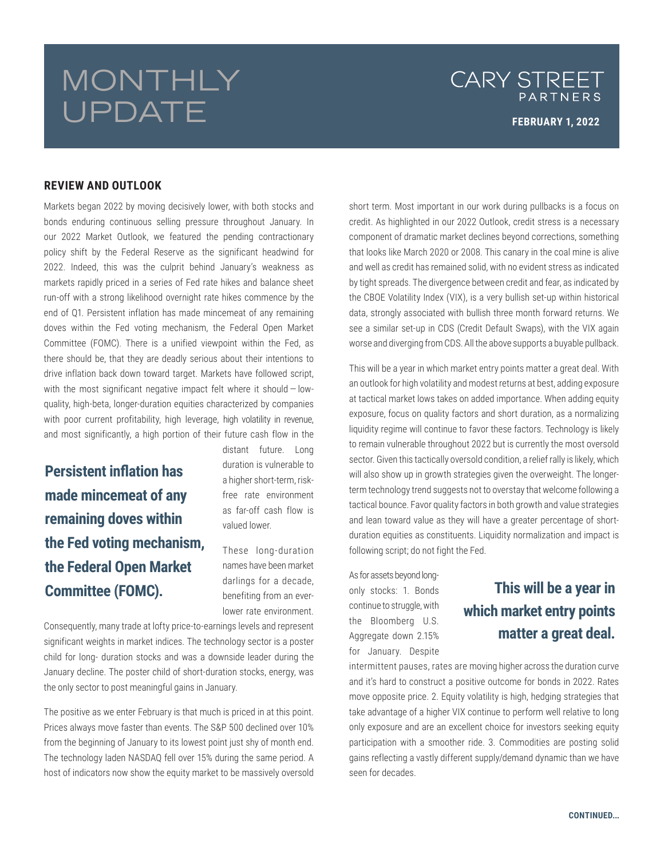# MONTHLY UPDATE

### CARY STREET PARTNERS

#### **REVIEW AND OUTLOOK**

Markets began 2022 by moving decisively lower, with both stocks and bonds enduring continuous selling pressure throughout January. In our 2022 Market Outlook, we featured the pending contractionary policy shift by the Federal Reserve as the significant headwind for 2022. Indeed, this was the culprit behind January's weakness as markets rapidly priced in a series of Fed rate hikes and balance sheet run-off with a strong likelihood overnight rate hikes commence by the end of Q1. Persistent inflation has made mincemeat of any remaining doves within the Fed voting mechanism, the Federal Open Market Committee (FOMC). There is a unified viewpoint within the Fed, as there should be, that they are deadly serious about their intentions to drive inflation back down toward target. Markets have followed script, with the most significant negative impact felt where it should — lowquality, high-beta, longer-duration equities characterized by companies with poor current profitability, high leverage, high volatility in revenue, and most significantly, a high portion of their future cash flow in the

**Persistent inflation has made mincemeat of any remaining doves within the Fed voting mechanism, the Federal Open Market Committee (FOMC).**

distant future. Long duration is vulnerable to a higher short-term, riskfree rate environment as far-off cash flow is valued lower.

These long-duration names have been market darlings for a decade, benefiting from an everlower rate environment.

Consequently, many trade at lofty price-to-earnings levels and represent significant weights in market indices. The technology sector is a poster child for long- duration stocks and was a downside leader during the January decline. The poster child of short-duration stocks, energy, was the only sector to post meaningful gains in January.

The positive as we enter February is that much is priced in at this point. Prices always move faster than events. The S&P 500 declined over 10% from the beginning of January to its lowest point just shy of month end. The technology laden NASDAQ fell over 15% during the same period. A host of indicators now show the equity market to be massively oversold

short term. Most important in our work during pullbacks is a focus on credit. As highlighted in our 2022 Outlook, credit stress is a necessary component of dramatic market declines beyond corrections, something that looks like March 2020 or 2008. This canary in the coal mine is alive and well as credit has remained solid, with no evident stress as indicated by tight spreads. The divergence between credit and fear, as indicated by the CBOE Volatility Index (VIX), is a very bullish set-up within historical data, strongly associated with bullish three month forward returns. We see a similar set-up in CDS (Credit Default Swaps), with the VIX again worse and diverging from CDS. All the above supports a buyable pullback.

This will be a year in which market entry points matter a great deal. With an outlook for high volatility and modest returns at best, adding exposure at tactical market lows takes on added importance. When adding equity exposure, focus on quality factors and short duration, as a normalizing liquidity regime will continue to favor these factors. Technology is likely to remain vulnerable throughout 2022 but is currently the most oversold sector. Given this tactically oversold condition, a relief rally is likely, which will also show up in growth strategies given the overweight. The longerterm technology trend suggests not to overstay that welcome following a tactical bounce. Favor quality factors in both growth and value strategies and lean toward value as they will have a greater percentage of shortduration equities as constituents. Liquidity normalization and impact is following script; do not fight the Fed.

As for assets beyond longonly stocks: 1. Bonds continue to struggle, with the Bloomberg U.S. Aggregate down 2.15% for January. Despite

## **This will be a year in which market entry points matter a great deal.**

intermittent pauses, rates are moving higher across the duration curve and it's hard to construct a positive outcome for bonds in 2022. Rates move opposite price. 2. Equity volatility is high, hedging strategies that take advantage of a higher VIX continue to perform well relative to long only exposure and are an excellent choice for investors seeking equity participation with a smoother ride. 3. Commodities are posting solid gains reflecting a vastly different supply/demand dynamic than we have seen for decades.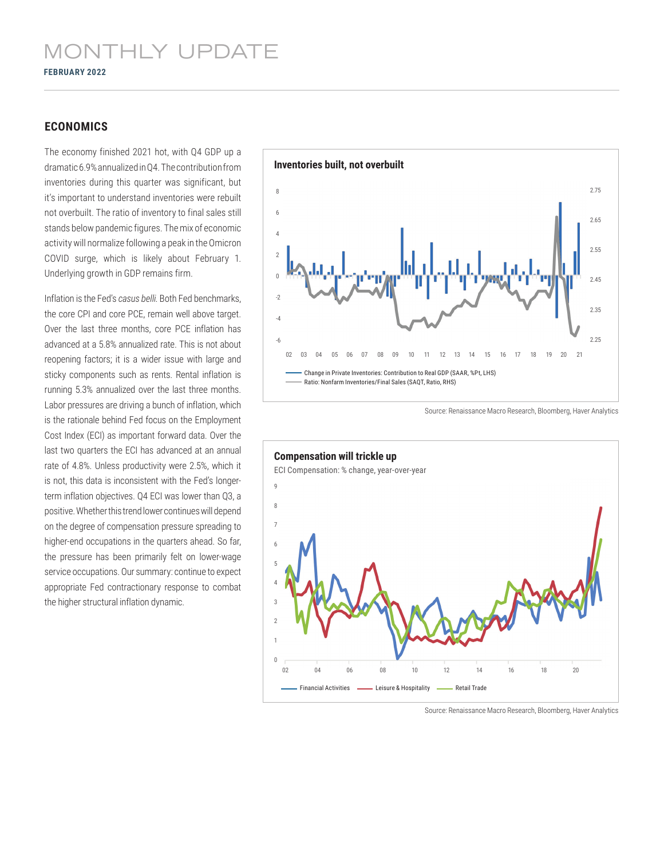#### **ECONOMICS**

The economy finished 2021 hot, with Q4 GDP up a dramatic 6.9% annualized in Q4. The contribution from inventories during this quarter was significant, but it's important to understand inventories were rebuilt not overbuilt. The ratio of inventory to final sales still stands below pandemic figures. The mix of economic activity will normalize following a peak in the Omicron COVID surge, which is likely about February 1. Underlying growth in GDP remains firm.

Inflation is the Fed's *casus belli*. Both Fed benchmarks, the core CPI and core PCE, remain well above target. Over the last three months, core PCE inflation has advanced at a 5.8% annualized rate. This is not about reopening factors; it is a wider issue with large and sticky components such as rents. Rental inflation is running 5.3% annualized over the last three months. Labor pressures are driving a bunch of inflation, which is the rationale behind Fed focus on the Employment Cost Index (ECI) as important forward data. Over the last two quarters the ECI has advanced at an annual rate of 4.8%. Unless productivity were 2.5%, which it is not, this data is inconsistent with the Fed's longerterm inflation objectives. Q4 ECI was lower than Q3, a positive. Whether this trend lower continues will depend on the degree of compensation pressure spreading to higher-end occupations in the quarters ahead. So far, the pressure has been primarily felt on lower-wage service occupations. Our summary: continue to expect appropriate Fed contractionary response to combat the higher structural inflation dynamic.



Source: Renaissance Macro Research, Bloomberg, Haver Analytics



Source: Renaissance Macro Research, Bloomberg, Haver Analytics